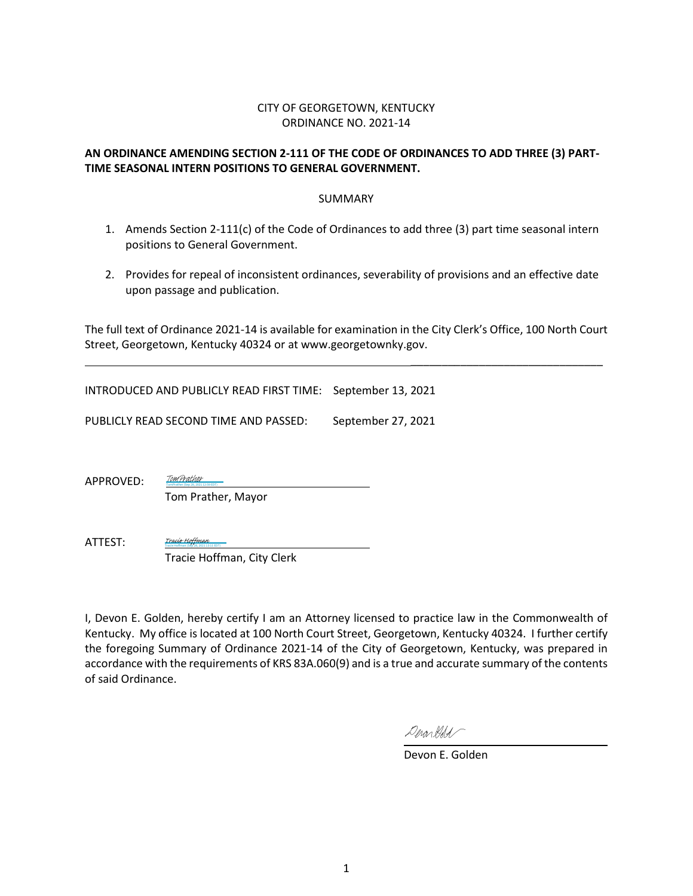### CITY OF GEORGETOWN, KENTUCKY ORDINANCE NO. 2021-14

### **AN ORDINANCE AMENDING SECTION 2-111 OF THE CODE OF ORDINANCES TO ADD THREE (3) PART-TIME SEASONAL INTERN POSITIONS TO GENERAL GOVERNMENT.**

### SUMMARY

- 1. Amends Section 2-111(c) of the Code of Ordinances to add three (3) part time seasonal intern positions to General Government.
- 2. Provides for repeal of inconsistent ordinances, severability of provisions and an effective date upon passage and publication.

The full text of Ordinance 2021-14 is available for examination in the City Clerk's Office, 100 North Court Street, Georgetown, Kentucky 40324 or at www.georgetownky.gov.

INTRODUCED AND PUBLICLY READ FIRST TIME: September 13, 2021

PUBLICLY READ SECOND TIME AND PASSED: September 27, 2021

APPROVED:

 Tom Prather, Mayor TomPrather (Sep 28, 2021 12:59 EDT)

[TomPrather](https://na1.documents.adobe.com/verifier?tx=CBJCHBCAABAAQHxfF3EEzDKzAuCd5GnSDWsxJ3b2kGqN)

Tracie Hoffman (Sep 28, 2021 13:11 EDT) [Tracie Hoffman](https://na1.documents.adobe.com/verifier?tx=CBJCHBCAABAAQHxfF3EEzDKzAuCd5GnSDWsxJ3b2kGqN)

ATTEST:

Tracie Hoffman, City Clerk

I, Devon E. Golden, hereby certify I am an Attorney licensed to practice law in the Commonwealth of Kentucky. My office is located at 100 North Court Street, Georgetown, Kentucky 40324. I further certify the foregoing Summary of Ordinance 2021-14 of the City of Georgetown, Kentucky, was prepared in accordance with the requirements of KRS 83A.060(9) and is a true and accurate summary of the contents of said Ordinance.

Derontldd

Devon E. Golden

\_\_\_\_\_\_\_\_\_\_\_\_\_\_\_\_\_\_\_\_\_\_\_\_\_\_\_\_\_\_\_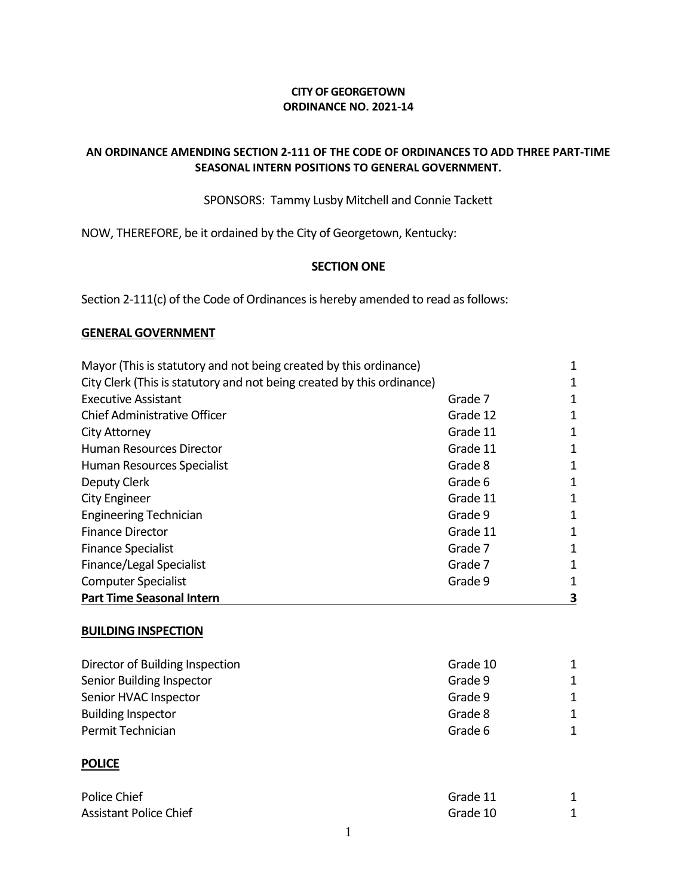### **CITY OF GEORGETOWN ORDINANCE NO. 2021-14**

### **AN ORDINANCE AMENDING SECTION 2-111 OF THE CODE OF ORDINANCES TO ADD THREE PART-TIME SEASONAL INTERN POSITIONS TO GENERAL GOVERNMENT.**

SPONSORS: Tammy Lusby Mitchell and Connie Tackett

NOW, THEREFORE, be it ordained by the City of Georgetown, Kentucky:

### **SECTION ONE**

Section 2-111(c) of the Code of Ordinances is hereby amended to read as follows:

### **GENERAL GOVERNMENT**

| Mayor (This is statutory and not being created by this ordinance)      |          | 1 |
|------------------------------------------------------------------------|----------|---|
| City Clerk (This is statutory and not being created by this ordinance) |          | 1 |
| <b>Executive Assistant</b>                                             | Grade 7  | 1 |
| Chief Administrative Officer                                           | Grade 12 | 1 |
| <b>City Attorney</b>                                                   | Grade 11 | 1 |
| <b>Human Resources Director</b>                                        | Grade 11 | 1 |
| Human Resources Specialist                                             | Grade 8  | 1 |
| Deputy Clerk                                                           | Grade 6  | 1 |
| City Engineer                                                          | Grade 11 | 1 |
| <b>Engineering Technician</b>                                          | Grade 9  | 1 |
| <b>Finance Director</b>                                                | Grade 11 | 1 |
| <b>Finance Specialist</b>                                              | Grade 7  | 1 |
| Finance/Legal Specialist                                               | Grade 7  | 1 |
| <b>Computer Specialist</b>                                             | Grade 9  | 1 |
| <b>Part Time Seasonal Intern</b>                                       |          | З |

### **BUILDING INSPECTION**

| Director of Building Inspection | Grade 10 | 1 |
|---------------------------------|----------|---|
| Senior Building Inspector       | Grade 9  | 1 |
| Senior HVAC Inspector           | Grade 9  | 1 |
| <b>Building Inspector</b>       | Grade 8  | 1 |
| Permit Technician               | Grade 6  | 1 |
| <b>POLICE</b>                   |          |   |
| Police Chief                    | Grade 11 | 1 |

Assistant Police Chief Grade 10 and 2012 1 and 2012 1 and 2012 1 and 2012 1 and 2012 1 and 2012 1 and 2012 1 and 2012 1 and 2012 1 and 2012 1 and 2012 1 and 2012 1 and 2012 1 and 2012 1 and 2012 1 and 2012 1 and 2012 1 and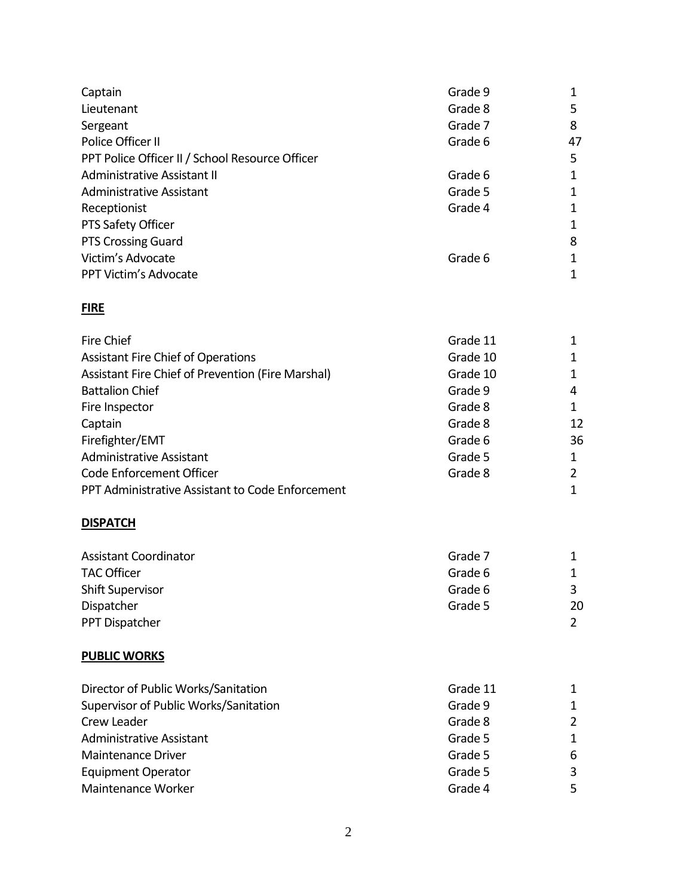| Captain<br>Lieutenant<br>Sergeant<br>Police Officer II<br>PPT Police Officer II / School Resource Officer<br>Administrative Assistant II<br><b>Administrative Assistant</b><br>Receptionist<br>PTS Safety Officer                                                                                                                                                                                                    | Grade 9<br>Grade 8<br>Grade 7<br>Grade 6<br>Grade 6<br>Grade 5<br>Grade 4                                                           | 1<br>5<br>8<br>47<br>5<br>1<br>1<br>$\mathbf 1$<br>1                                   |
|----------------------------------------------------------------------------------------------------------------------------------------------------------------------------------------------------------------------------------------------------------------------------------------------------------------------------------------------------------------------------------------------------------------------|-------------------------------------------------------------------------------------------------------------------------------------|----------------------------------------------------------------------------------------|
| <b>PTS Crossing Guard</b><br>Victim's Advocate<br>PPT Victim's Advocate                                                                                                                                                                                                                                                                                                                                              | Grade 6                                                                                                                             | 8<br>1<br>1                                                                            |
| <b>FIRE</b>                                                                                                                                                                                                                                                                                                                                                                                                          |                                                                                                                                     |                                                                                        |
| <b>Fire Chief</b><br><b>Assistant Fire Chief of Operations</b><br>Assistant Fire Chief of Prevention (Fire Marshal)<br><b>Battalion Chief</b><br>Fire Inspector<br>Captain<br>Firefighter/EMT<br><b>Administrative Assistant</b><br>Code Enforcement Officer<br>PPT Administrative Assistant to Code Enforcement<br><b>DISPATCH</b><br><b>Assistant Coordinator</b><br><b>TAC Officer</b><br><b>Shift Supervisor</b> | Grade 11<br>Grade 10<br>Grade 10<br>Grade 9<br>Grade 8<br>Grade 8<br>Grade 6<br>Grade 5<br>Grade 8<br>Grade 7<br>Grade 6<br>Grade 6 | 1<br>1<br>1<br>4<br>1<br>12<br>36<br>1<br>$\overline{2}$<br>$\mathbf 1$<br>1<br>1<br>3 |
| Dispatcher                                                                                                                                                                                                                                                                                                                                                                                                           | Grade 5                                                                                                                             | 20                                                                                     |
| PPT Dispatcher                                                                                                                                                                                                                                                                                                                                                                                                       |                                                                                                                                     | $\overline{2}$                                                                         |
| <b>PUBLIC WORKS</b>                                                                                                                                                                                                                                                                                                                                                                                                  |                                                                                                                                     |                                                                                        |
| Director of Public Works/Sanitation<br>Supervisor of Public Works/Sanitation<br>Crew Leader<br><b>Administrative Assistant</b><br><b>Maintenance Driver</b><br><b>Equipment Operator</b><br>Maintenance Worker                                                                                                                                                                                                       | Grade 11<br>Grade 9<br>Grade 8<br>Grade 5<br>Grade 5<br>Grade 5<br>Grade 4                                                          | 1<br>1<br>$\overline{2}$<br>1<br>6<br>3<br>5                                           |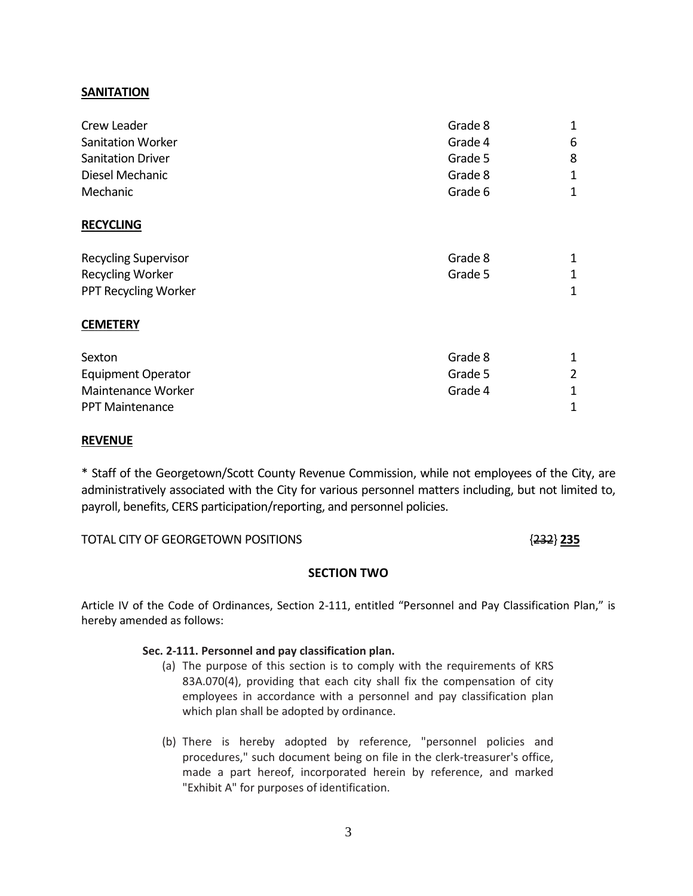### **SANITATION**

| Crew Leader                 | Grade 8 | $\mathbf 1$ |
|-----------------------------|---------|-------------|
| <b>Sanitation Worker</b>    | Grade 4 | 6           |
| <b>Sanitation Driver</b>    | Grade 5 | 8           |
| Diesel Mechanic             | Grade 8 | 1           |
| Mechanic                    | Grade 6 | 1           |
| <b>RECYCLING</b>            |         |             |
| <b>Recycling Supervisor</b> | Grade 8 | 1           |
| <b>Recycling Worker</b>     | Grade 5 | 1           |
| PPT Recycling Worker        |         | 1           |
| <b>CEMETERY</b>             |         |             |
| Sexton                      | Grade 8 | 1           |
| <b>Equipment Operator</b>   | Grade 5 | 2           |
| Maintenance Worker          | Grade 4 | 1           |
| <b>PPT Maintenance</b>      |         | 1           |

### **REVENUE**

\* Staff of the Georgetown/Scott County Revenue Commission, while not employees of the City, are administratively associated with the City for various personnel matters including, but not limited to, payroll, benefits, CERS participation/reporting, and personnel policies.

### TOTAL CITY OF GEORGETOWN POSITIONS {232} **235**

### **SECTION TWO**

Article IV of the Code of Ordinances, Section 2-111, entitled "Personnel and Pay Classification Plan," is hereby amended as follows:

### **Sec. 2-111. Personnel and pay classification plan.**

- (a) The purpose of this section is to comply with the requirements of KRS 83A.070(4), providing that each city shall fix the compensation of city employees in accordance with a personnel and pay classification plan which plan shall be adopted by ordinance.
- (b) There is hereby adopted by reference, "personnel policies and procedures," such document being on file in the clerk-treasurer's office, made a part hereof, incorporated herein by reference, and marked "Exhibit A" for purposes of identification.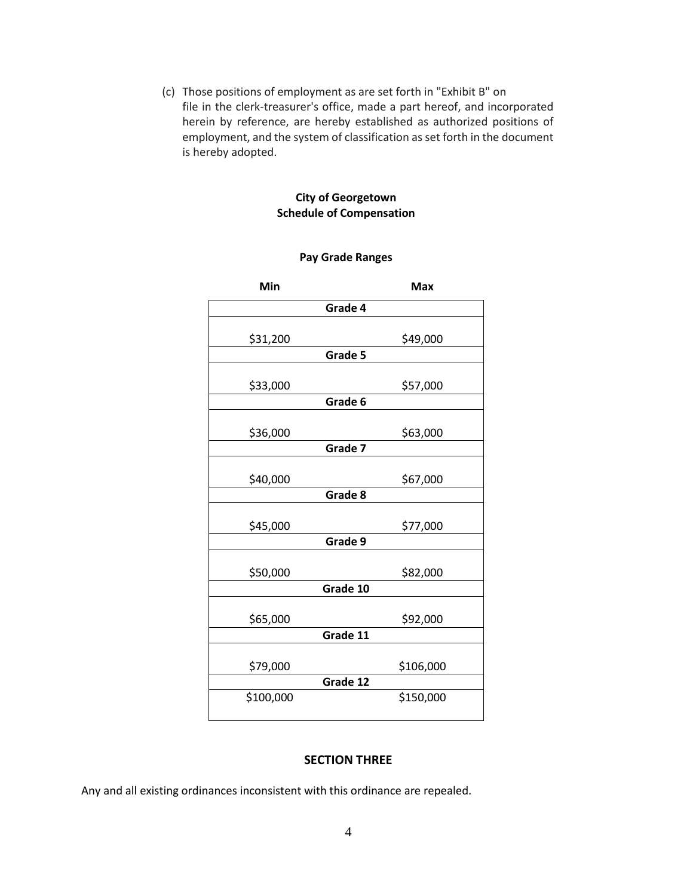(c) Those positions of employment as are set forth in "Exhibit B" on file in the clerk-treasurer's office, made a part hereof, and incorporated herein by reference, are hereby established as authorized positions of employment, and the system of classification as set forth in the document is hereby adopted.

### **City of Georgetown Schedule of Compensation**

### **Pay Grade Ranges**

| Min       | Max       |
|-----------|-----------|
| Grade 4   |           |
|           |           |
| \$31,200  | \$49,000  |
|           | Grade 5   |
|           |           |
| \$33,000  | \$57,000  |
|           | Grade 6   |
| \$36,000  | \$63,000  |
|           | Grade 7   |
|           |           |
| \$40,000  | \$67,000  |
|           | Grade 8   |
|           |           |
| \$45,000  | \$77,000  |
|           | Grade 9   |
|           |           |
| \$50,000  | \$82,000  |
|           | Grade 10  |
|           |           |
| \$65,000  | \$92,000  |
|           | Grade 11  |
|           |           |
| \$79,000  | \$106,000 |
|           | Grade 12  |
| \$100,000 | \$150,000 |
|           |           |

### **SECTION THREE**

Any and all existing ordinances inconsistent with this ordinance are repealed.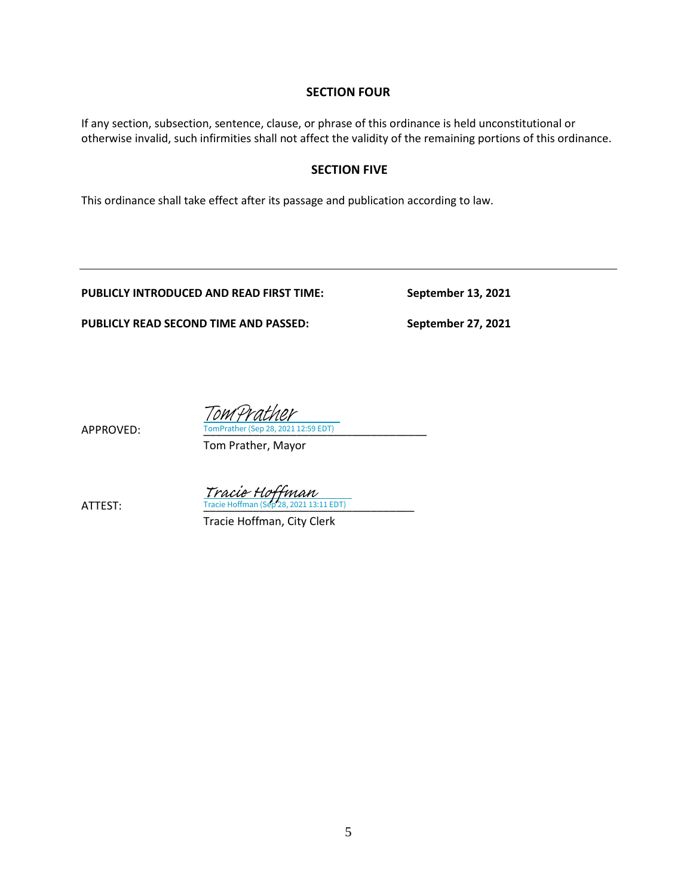### **SECTION FOUR**

If any section, subsection, sentence, clause, or phrase of this ordinance is held unconstitutional or otherwise invalid, such infirmities shall not affect the validity of the remaining portions of this ordinance.

### **SECTION FIVE**

This ordinance shall take effect after its passage and publication according to law.

**PUBLICLY INTRODUCED AND READ FIRST TIME: September 13, 2021**

**PUBLICLY READ SECOND TIME AND PASSED: September 27, 2021**

APPROVED: TomPrather (Sep 28, 2021 12:59 EDT) TomPrather

Tom Prather, Mayor

 $\frac{Tracie\ Hoffman}{Tracie\ Hoffman\ (Sep 28, 2021\ 13:11\ EDT)}$ 

Tracie Hoffman, City Clerk